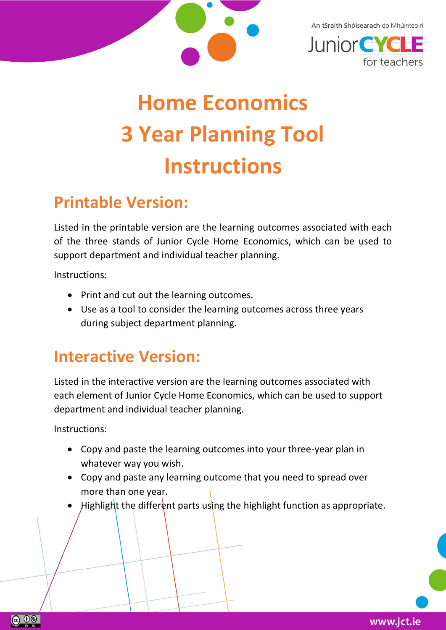

An tSraith Shóisearach do Mhúinteoirí



## **Home Economics 3 Year Planning Tool Instructions**

## **Printable Version:**

Listed in the printable version are the learning outcomes associated with each of the three stands of Junior Cycle Home Economics, which can be used to support department and individual teacher planning.

Instructions:

- Print and cut out the learning outcomes.
- Use as a tool to consider the learning outcomes across three years during subject department planning.

## **Interactive Version:**

Listed in the interactive version are the learning outcomes associated with each element of Junior Cycle Home Economics, which can be used to support department and individual teacher planning.

Instructions:

 $\circledcirc$   $\circledcirc$ 

- Copy and paste the learning outcomes into your three-year plan in whatever way you wish.
- Copy and paste any learning outcome that you need to spread over more than one year.
- Highlight the different parts using the highlight function as appropriate.